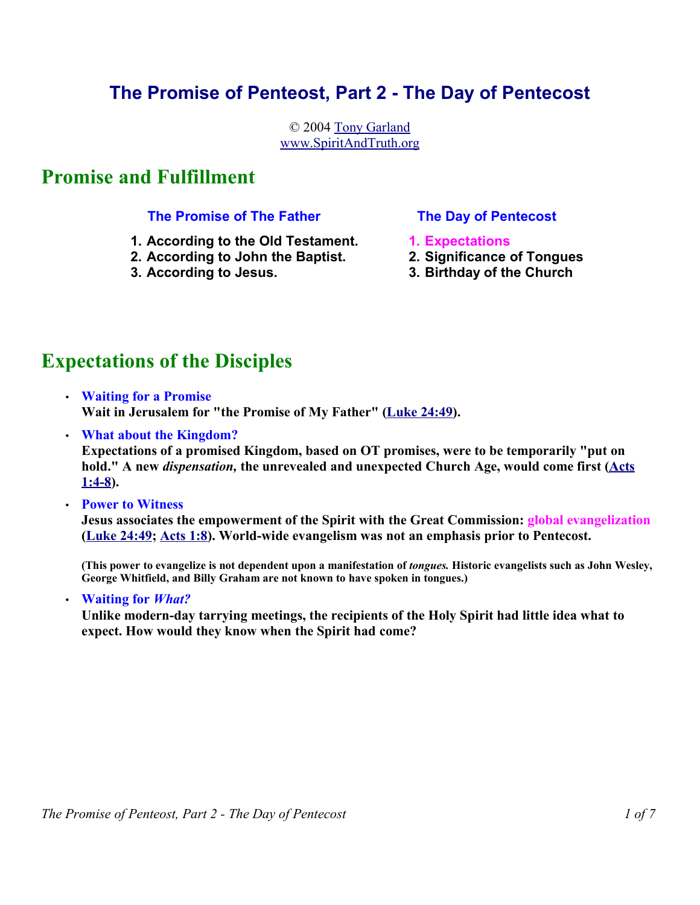### **The Promise of Penteost, Part 2 - The Day of Pentecost**

© 2004 Tony Garland www.SpiritAndTruth.org

### **Promise and Fulfillment**

#### **The Promise of The Father**

- **1. According to the Old Testament.**
- **2. According to John the Baptist.**
- **3. According to Jesus.**

### **The Day of Pentecost**

- **1. Expectations**
- **2. Significance of Tongues**
- **3. Birthday of the Church**

## **Expectations of the Disciples**

- **Waiting for a Promise Wait in Jerusalem for "the Promise of My Father" (Luke 24:49).**
- **What about the Kingdom?**

**Expectations of a promised Kingdom, based on OT promises, were to be temporarily "put on hold." A new** *dispensation,* **the unrevealed and unexpected Church Age, would come first (Acts 1:4-8).** 

• **Power to Witness** 

**Jesus associates the empowerment of the Spirit with the Great Commission: global evangelization (Luke 24:49; Acts 1:8). World-wide evangelism was not an emphasis prior to Pentecost.** 

**(This power to evangelize is not dependent upon a manifestation of** *tongues.* **Historic evangelists such as John Wesley, George Whitfield, and Billy Graham are not known to have spoken in tongues.)** 

• **Waiting for** *What?*

**Unlike modern-day tarrying meetings, the recipients of the Holy Spirit had little idea what to expect. How would they know when the Spirit had come?**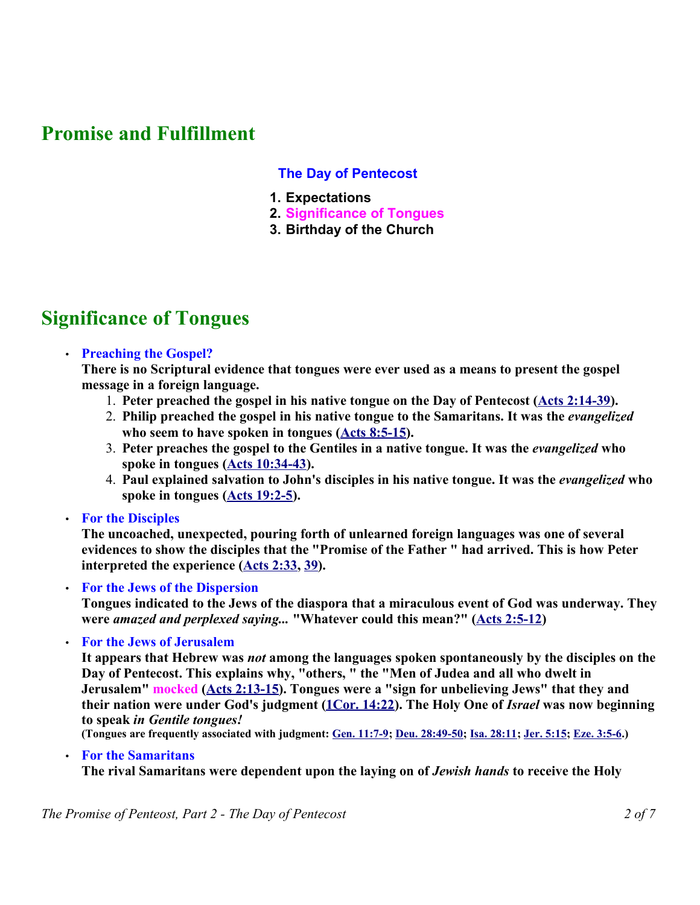### **Promise and Fulfillment**

### **The Day of Pentecost**

- **1. Expectations**
- **2. Significance of Tongues**
- **3. Birthday of the Church**

## **Significance of Tongues**

#### • **Preaching the Gospel?**

**There is no Scriptural evidence that tongues were ever used as a means to present the gospel message in a foreign language.**

- 1. **Peter preached the gospel in his native tongue on the Day of Pentecost (Acts 2:14-39).**
- 2. **Philip preached the gospel in his native tongue to the Samaritans. It was the** *evangelized* **who seem to have spoken in tongues (Acts 8:5-15).**
- 3. **Peter preaches the gospel to the Gentiles in a native tongue. It was the** *evangelized* **who spoke in tongues (Acts 10:34-43).**
- 4. **Paul explained salvation to John's disciples in his native tongue. It was the** *evangelized* **who spoke in tongues (Acts 19:2-5).**
- **For the Disciples**

**The uncoached, unexpected, pouring forth of unlearned foreign languages was one of several evidences to show the disciples that the "Promise of the Father " had arrived. This is how Peter interpreted the experience (Acts 2:33, 39).** 

• **For the Jews of the Dispersion**

**Tongues indicated to the Jews of the diaspora that a miraculous event of God was underway. They were** *amazed and perplexed saying...* **"Whatever could this mean?" (Acts 2:5-12)**

• **For the Jews of Jerusalem**

**It appears that Hebrew was** *not* **among the languages spoken spontaneously by the disciples on the Day of Pentecost. This explains why, "others, " the "Men of Judea and all who dwelt in Jerusalem" mocked (Acts 2:13-15). Tongues were a "sign for unbelieving Jews" that they and their nation were under God's judgment (1Cor. 14:22). The Holy One of** *Israel* **was now beginning to speak** *in Gentile tongues!*

**(Tongues are frequently associated with judgment: Gen. 11:7-9; Deu. 28:49-50; Isa. 28:11; Jer. 5:15; Eze. 3:5-6.)** 

#### • **For the Samaritans**

**The rival Samaritans were dependent upon the laying on of** *Jewish hands* **to receive the Holy**

*The Promise of Penteost, Part 2 - The Day of Pentecost 2 of 7*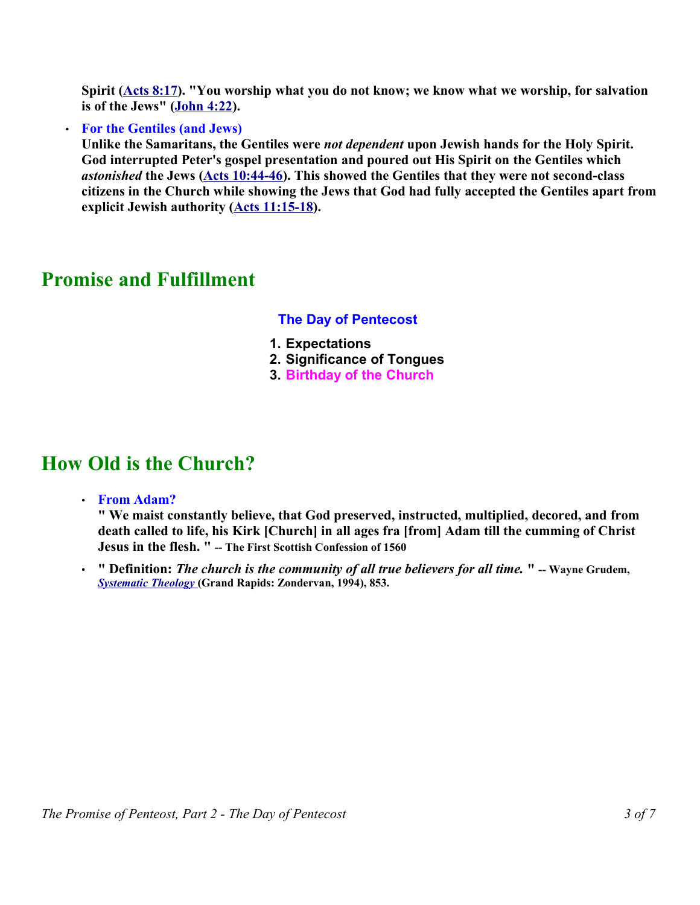**Spirit (Acts 8:17). "You worship what you do not know; we know what we worship, for salvation is of the Jews" (John 4:22).** 

• **For the Gentiles (and Jews)**

**Unlike the Samaritans, the Gentiles were** *not dependent* **upon Jewish hands for the Holy Spirit. God interrupted Peter's gospel presentation and poured out His Spirit on the Gentiles which** *astonished* **the Jews (Acts 10:44-46). This showed the Gentiles that they were not second-class citizens in the Church while showing the Jews that God had fully accepted the Gentiles apart from explicit Jewish authority (Acts 11:15-18).** 

### **Promise and Fulfillment**

#### **The Day of Pentecost**

- **1. Expectations**
- **2. Significance of Tongues**
- **3. Birthday of the Church**

### **How Old is the Church?**

• **From Adam?** 

**" We maist constantly believe, that God preserved, instructed, multiplied, decored, and from death called to life, his Kirk [Church] in all ages fra [from] Adam till the cumming of Christ Jesus in the flesh. " -- The First Scottish Confession of 1560**

• **" Definition:** *The church is the community of all true believers for all time.* **" -- Wayne Grudem,** *Systematic Theology* **(Grand Rapids: Zondervan, 1994), 853.**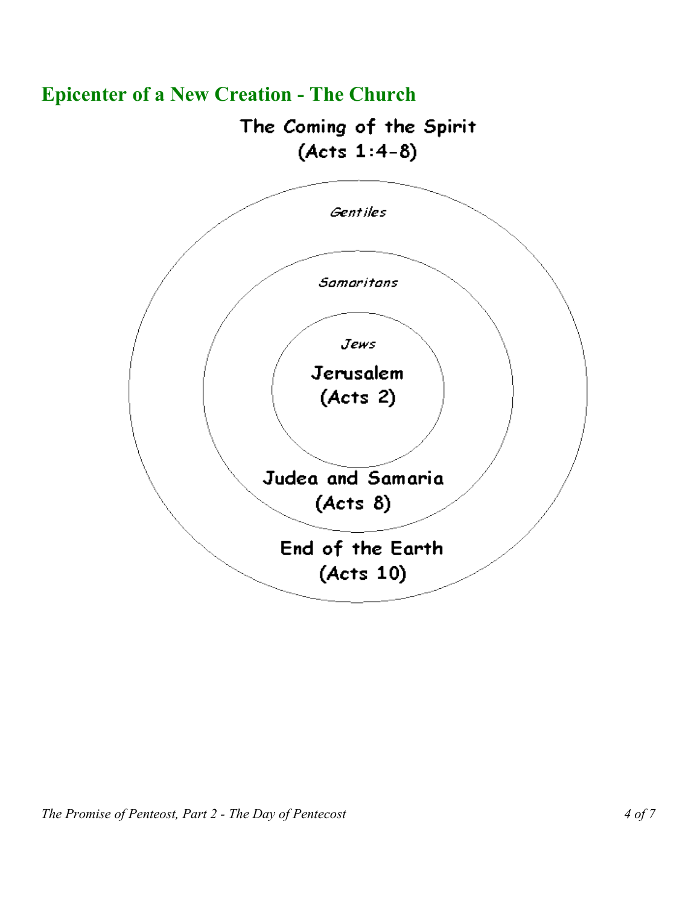

# **Epicenter of a New Creation - The Church**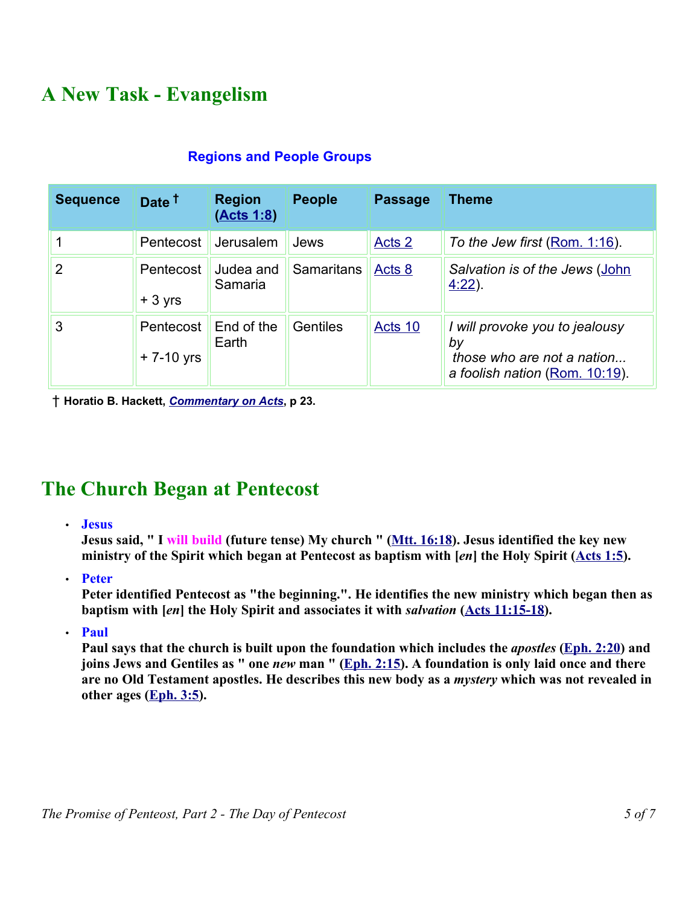# **A New Task - Evangelism**

| <b>Sequence</b> | Date <sup>t</sup>           | <b>Region</b><br>(Acts 1:8) | <b>People</b> | <b>Passage</b>    | <b>Theme</b>                                                                                         |
|-----------------|-----------------------------|-----------------------------|---------------|-------------------|------------------------------------------------------------------------------------------------------|
|                 | Pentecost                   | Jerusalem                   | Jews          | Acts <sub>2</sub> | To the Jew first (Rom. 1:16).                                                                        |
| $\overline{2}$  | Pentecost<br>$+3$ yrs       | Judea and<br>Samaria        | Samaritans    | Acts 8            | Salvation is of the Jews (John<br>$4.22$ ).                                                          |
| 3               | Pentecost<br>$+ 7 - 10$ yrs | End of the<br>Earth         | Gentiles      | Acts 10           | I will provoke you to jealousy<br>by<br>those who are not a nation<br>a foolish nation (Rom. 10:19). |

### **Regions and People Groups**

† **Horatio B. Hackett,** *Commentary on Acts***, p 23.** 

## **The Church Began at Pentecost**

#### • **Jesus**

**Jesus said, " I will build (future tense) My church " (Mtt. 16:18). Jesus identified the key new ministry of the Spirit which began at Pentecost as baptism with [***en***] the Holy Spirit (Acts 1:5).** 

• **Peter**

**Peter identified Pentecost as "the beginning.". He identifies the new ministry which began then as baptism with [***en***] the Holy Spirit and associates it with** *salvation* **(Acts 11:15-18).** 

• **Paul**

**Paul says that the church is built upon the foundation which includes the** *apostles* **(Eph. 2:20) and joins Jews and Gentiles as " one** *new* **man " (Eph. 2:15). A foundation is only laid once and there are no Old Testament apostles. He describes this new body as a** *mystery* **which was not revealed in other ages (Eph. 3:5).**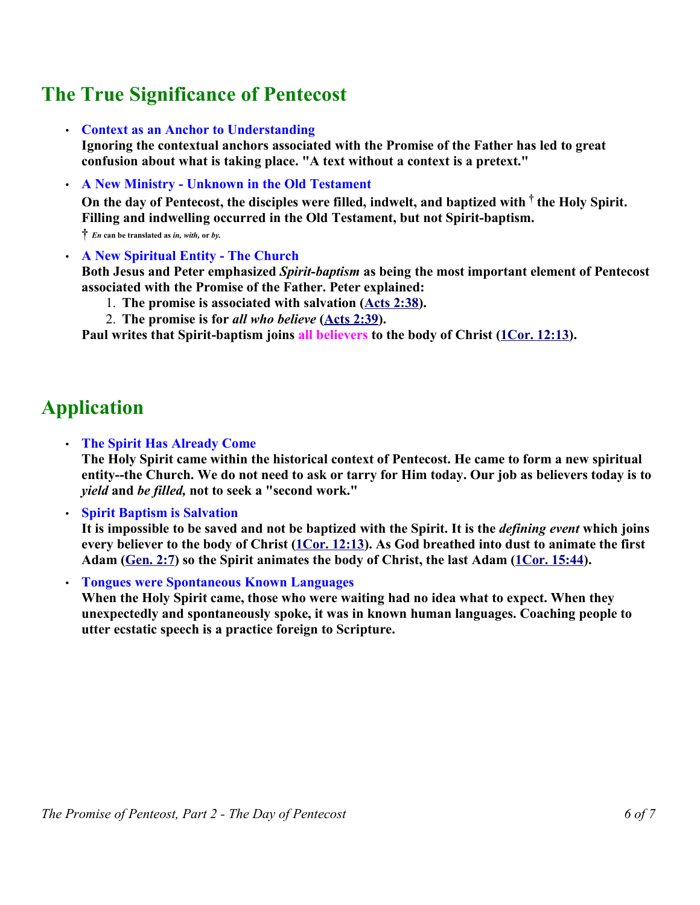## **The True Significance of Pentecost**

• **Context as an Anchor to Understanding**

**Ignoring the contextual anchors associated with the Promise of the Father has led to great confusion about what is taking place. "A text without a context is a pretext."**

• **A New Ministry - Unknown in the Old Testament** 

**On the day of Pentecost, the disciples were filled, indwelt, and baptized with † the Holy Spirit. Filling and indwelling occurred in the Old Testament, but not Spirit-baptism.** 

**†** *En* **can be translated as** *in, with,* **or** *by.*

• **A New Spiritual Entity - The Church** 

**Both Jesus and Peter emphasized** *Spirit-baptism* **as being the most important element of Pentecost associated with the Promise of the Father. Peter explained:**

- 1. **The promise is associated with salvation (Acts 2:38).**
- 2. **The promise is for** *all who believe* **(Acts 2:39).**

**Paul writes that Spirit-baptism joins all believers to the body of Christ (1Cor. 12:13).** 

## **Application**

• **The Spirit Has Already Come**

**The Holy Spirit came within the historical context of Pentecost. He came to form a new spiritual entity--the Church. We do not need to ask or tarry for Him today. Our job as believers today is to** *yield* **and** *be filled,* **not to seek a "second work."**

• **Spirit Baptism is Salvation** 

**It is impossible to be saved and not be baptized with the Spirit. It is the** *defining event* **which joins every believer to the body of Christ (1Cor. 12:13). As God breathed into dust to animate the first** Adam (Gen. 2:7) so the Spirit animates the body of Christ, the last Adam (1Cor. 15:44).

• **Tongues were Spontaneous Known Languages**

**When the Holy Spirit came, those who were waiting had no idea what to expect. When they unexpectedly and spontaneously spoke, it was in known human languages. Coaching people to utter ecstatic speech is a practice foreign to Scripture.**